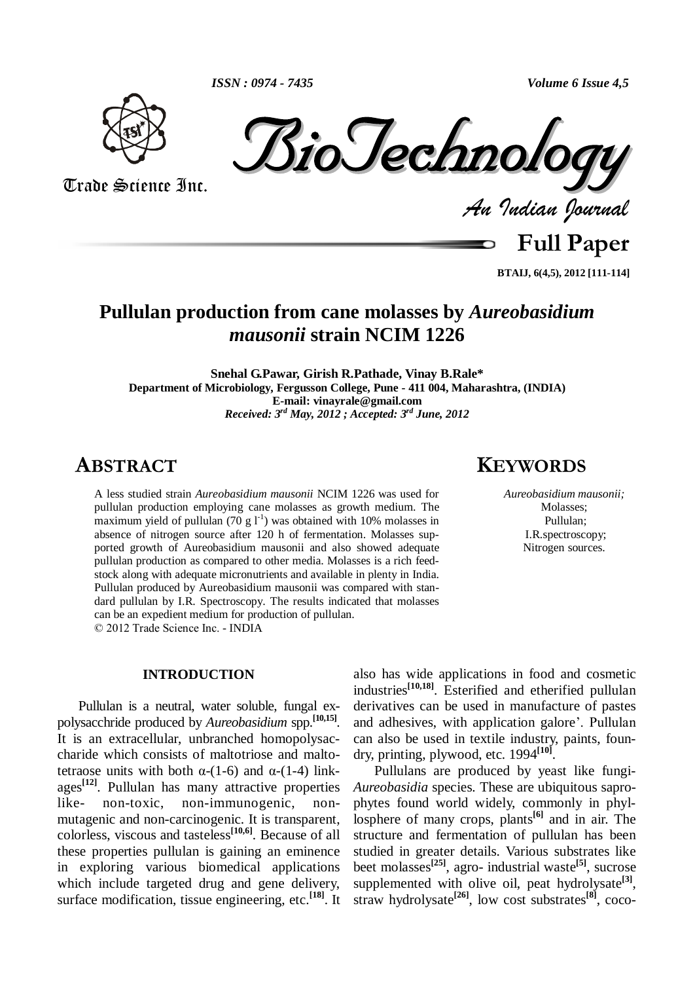Trade Science Inc. Trade Science Inc.

*Indian Journal*

**Full Paper**

**BTAIJ, 6(4,5), 2012 [111-114]**

# **Pullulan production from cane molasses by** *Aureobasidium mausonii* **strain NCIM 1226**

**Snehal G.Pawar, Girish R.Pathade, Vinay B.Rale\* Department of Microbiology, Fergusson College, Pune - 411 004, Maharashtra, (INDIA) E-mail: [vinayrale@gmail.com](mailto:vinayrale@gmail.com)** *Received: 3 rd May, 2012 ;Accepted: 3 rd June, 2012* **<sup>K</sup>EYWORDS**

## **ABSTRACT**

A less studied strain *Aureobasidium mausonii* NCIM 1226 was used for pullulan production employing cane molasses as growth medium. The maximum yield of pullulan  $(70 g 1<sup>-1</sup>)$  was obtained with 10% molasses in absence of nitrogen source after 120 h of fermentation. Molasses sup ported growth of Aureobasidium mausonii and also showed adequate pullulan production as compared to other media. Molasses is a rich feed stock along with adequate micronutrients and available in plenty in India. Pullulan produced by Aureobasidium mausonii was compared with stan dard pullulan by I.R. Spectroscopy. The results indicated that molasses can be an expedient medium forproduction of pullulan. © <sup>2012</sup> Trade Science Inc. - INDIA

### **INTRODUCTION**

Pullulan is a neutral, water soluble, fungal ex polysacchride produced by *Aureobasidium* spp. **[10,15]**. It is an extracellular, unbranched homopolysac-<br>charide which consists of maltotriose and malto-<br>tetraose units with both  $\alpha$ -(1-6) and  $\alpha$ -(1-4) linkcharide which consists of maltotriose and maltoages<sup>[12]</sup>. Pullulan has many attractive properties A like- non-toxic, non-immunogenic, non mutagenic and non-carcinogenic. It is transparent, colorless, viscous and tasteless **[10,6]**. Because of all these properties pullulan is gaining an eminence in exploring various biomedical applications which include targeted drug and gene delivery, surface modification, tissue engineering, etc. **[18]**. It

also has wide applications in food and cosmetic industries<sup>[10,18]</sup>. Esterified and etherified pullulan derivatives can be used in manufacture of pastes and adhesives, with application galore<sup>7</sup>. Pullulan derivatives can be used in manufacture of pastes can also be used in textile industry, paints, foun dry, printing, plywood, etc. 1994 **[10]**.

Pullulans are produced by yeast like fungi- *Aureobasidia* species*.* These are ubiquitous sapro phytes found world widely, commonly in phyllosphere of many crops, plants **[6]** and in air. The structure and fermentation of pullulan has been studied in greater details. Various substrates like beet molasses **[25]**, agro- industrial waste **[5]**, sucrose supplemented with olive oil, peat hydrolysate **[3]**, straw hydrolysate **[26]**, low cost substrates **[8]**, coco-

*Aureobasidium mausonii;* Molasses; Pullulan; I.R.spectroscopy; Nitrogen sources.

*ISSN : 0974 -7435 Volume 6 Issue 4,5*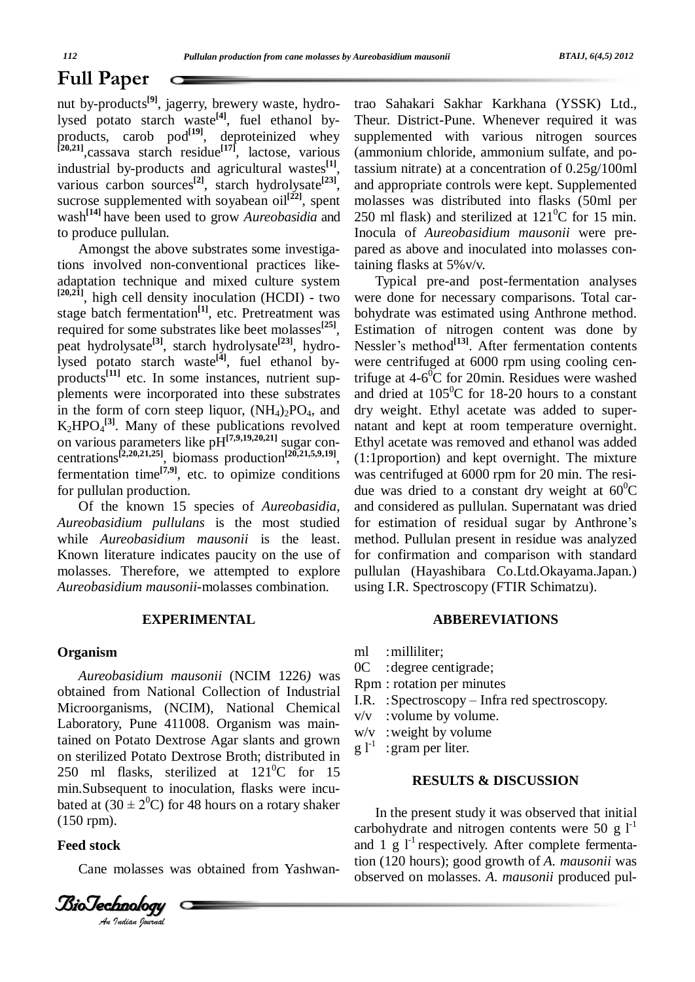## **Full Paper**  $\subset$

nut by-products **[9]**, jagerry, brewery waste, hydrolysed potato starch waste **[4]**, fuel ethanol by products, carob pod<sup>[19]</sup>, deproteinized whey su **[20,21]**,cassava starch residue **[17]**, lactose, various industrial by-products and agricultural wastes **[1]**, various carbon sources **[2]**, starch hydrolysate **[23]**, sucrose supplemented with soyabean oil<sup>[22]</sup>, spent wash **[14]** have been used to grow *Aureobasidia* and to produce pullulan.

Amongst the above substrates some investigations involved non-conventional practices like adaptation technique and mixed culture system **[20,21]**, high cell density inoculation (HCDI) - two stage batch fermentation<sup>[1]</sup>, etc. Pretreatment was l required for some substrates like beet molasses **[25]**, peat hydrolysate **[3]**, starch hydrolysate **[23]**, hydrolysed potato starch waste **[4]**, fuel ethanol by products<sup>[11]</sup> etc. In some instances, nutrient supplements were incorporated into these substrates in the form of corn steep liquor,  $(NH_4)_2PO_4$ , and  $K_2 H PO_4^{[3]}$ . Many of these publications revolved no on various parameters like pH **[7,9,19,20,21]** sugar con centrations **[2,20,21,25]**, biomass production **[20,21,5,9,19]**, fermentation time<sup>[7,9]</sup>, etc. to opimize conditions for pullulan production.

Of the known 15 species of *Aureobasidia, Aureobasidium pullulans* is the most studied while *Aureobasidium mausonii* is the least. Known literature indicates paucity on the use of molasses. Therefore, we attempted to explore *Aureobasidium mausonii-*molasses combination.

#### **EXPERIMENTAL**

#### **Organism**

250 ml flasks, sterilized at  $121^0$ C for 15 min. Subsequent to inoculation, flasks were incubated at  $(30 \pm 2^0$ C for 48 hours on a rotary shaker *An*(150 rpm). *Aureobasidium mausonii* (NCIM 1226*)* was obtained from National Collection of Industrial Microorganisms, (NCIM), National Chemical Laboratory, Pune 411008. Organism was maintained on Potato Dextrose Agar slants and grown on sterilized Potato Dextrose Broth; distributed in min.Subsequent to inoculation, flasks were incu bated at  $(30 \pm 2^{0}C)$  for 48 hours on a rotary shaker

#### **Feed stock**

Cane molasses was obtained from Yashwan-



trao Sahakari Sakhar Karkhana (YSSK) Ltd., Theur. District-Pune. Whenever required it was supplemented with various nitrogen sources (ammonium chloride, ammonium sulfate, and potassium nitrate) at a concentration of 0.25g/100ml and appropriate controls were kept. Supplemented molasses was distributed into flasks (50ml per 250 ml flask) and sterilized at  $121^{\circ}$ C for 15 min. Inocula of *Aureobasidium mausonii* were pre pared as above and inoculated into molasses containing flasks at 5%v/v.

Typical pre-and post-fermentation analyses were done for necessary comparisons. Total car bohydrate was estimated using Anthrone method.<br>Estimation of nitrogen content was done by<br>Nessler's method<sup>[13]</sup>. After fermentation contents Estimation of nitrogen content was done by Nessler's method<sup>[13]</sup>. After fermentation contents were centrifuged at 6000 rpm using cooling centrifuge at  $4\n-6$ <sup>o</sup>C for 20min. Residues were washed and dried at  $105^{\circ}$ C for 18-20 hours to a constant dry weight. Ethyl acetate was added to super natant and kept at room temperature overnight. Ethyl acetate was removed and ethanol was added (1:1proportion) and kept overnight. The mixture was centrifuged at 6000 rpm for 20 min. The resi due was dried to a constant dry weight at 60<sup>0</sup>C<br>and considered as pullulan. Supernatant was dried<br>for estimation of residual sugar by Anthrone's and considered as pullulan. Supernatant was dried method. Pullulan present in residue was analyzed for confirmation and comparison with standard pullulan (Hayashibara Co.Ltd.Okayama.Japan.) using I.R. Spectroscopy (FTIR Schimatzu).

#### **ABBEREVIATIONS**

- ml :milliliter;
- : degree centigrade;
- Rpm : rotation per minutes
- I.R. : Spectroscopy Infra red spectroscopy.
- $v/v$  : volume by volume.
- : weight by volume
- $\mathrm{g}\,$   $\mathrm{l}^{\text{-1}}\,$  : :gram per liter.

#### **RESULTS & DISCUSSION**

In the present study it was observed that initial carbohydrate and nitrogen contents were 50 g  $1^{-1}$ and  $1 \text{ g } l^{-1}$  respectively. After complete fermentation (120 hours); good growth of *A. mausonii* was observed on molasses. *A. mausonii* produced pul-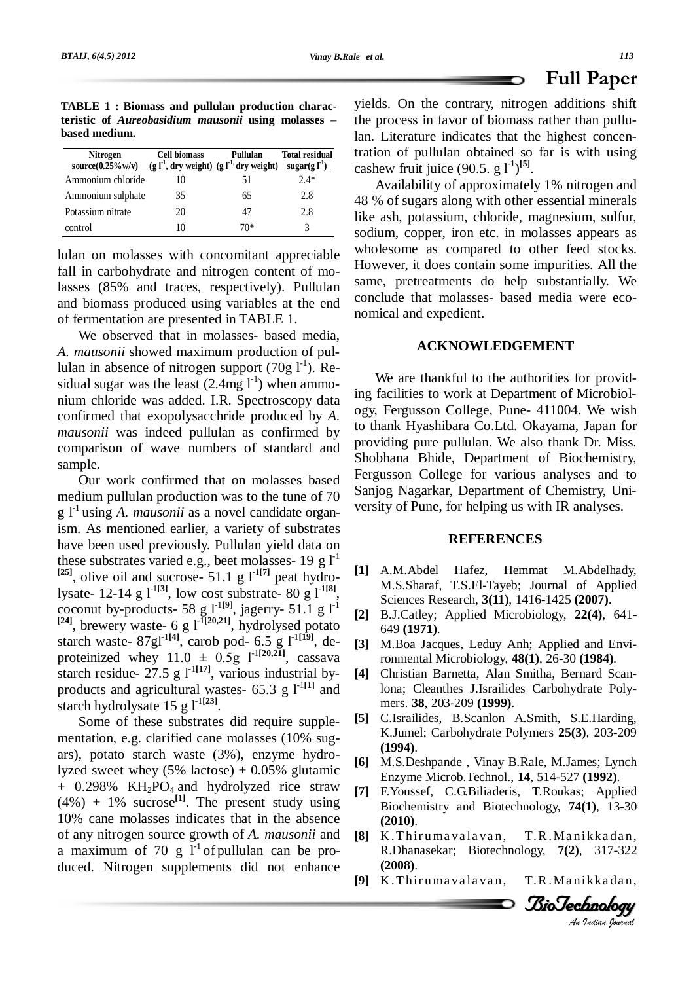**Paper**

**TABLE 1 : Biomass and pullulan production characthe thenth is considered.**<br>**teristic** of *Aureobasidium mausonii* using molasses – **based medium.**

| <b>Nitrogen</b><br>source(0.25%w/v) (g $l^{-1}$ , dry weight) (g $l^{-1}$ , dry weight) | <b>Cell biomass</b> | Pullulan | <b>Total residual</b><br>sugar(g $l^{-1}$ ) |
|-----------------------------------------------------------------------------------------|---------------------|----------|---------------------------------------------|
| Ammonium chloride                                                                       | 10                  | 51       | $2.4*$                                      |
| Ammonium sulphate                                                                       | 35                  | 65       | 2.8                                         |
| Potassium nitrate                                                                       | 20                  | 41       | 2.8                                         |
| control                                                                                 | IO                  | 70*      |                                             |

lulan on molasses with concomitant appreciable fall in carbohydrate and nitrogen content of molasses (85% and traces, respectively). Pullulan and biomass produced using variables at the end of fermentation are presented in TABLE 1.

We observed that in molasses- based media, *A. mausonii* showed maximum production of pullulan in absence of nitrogen support  $(70g I<sup>-1</sup>)$ . Residual sugar was the least  $(2.4mg l<sup>-1</sup>)$  when ammonium chloride was added. I.R. Spectroscopy data confirmed that exopolysacchride produced by *A. mausonii* was indeed pullulan as confirmed by comparison of wave numbers of standard and sample.

Our work confirmed that on molasses based medium pullulan production was to the tune of 70 g l -1 using *A. mausonii* as a novel candidate organism. As mentioned earlier, a variety of substrates have been used previously. Pullulan yield data on these substrates varied e.g., beet molasses- 19 g  $1<sup>-1</sup>$ <sup>[25]</sup>, olive oil and sucrose- 51.1 g  $l^{-1[7]}$  peat hydrolysate- 12-14 g l -1**[3]**, low cost substrate- 80 g l -1**[8]**, coconut by-products- 58 g  $1^{-19}$ , jagerry- 51.1 g  $1^{-1}$  $[24]$ , brewery waste- 6 g  $l^{\text{-}I[20,21]}$ , hydrolysed potato starch waste-  $87gl^{-1[4]}$ , carob pod- 6.5 g  $l^{-1[19]}$ , de-<sup>[24]</sup>, brewery waste- 6 g  $I^{I[20,21]}$ , hydrolysed potato starch waste- 87g<sup>1-1[4]</sup>, carob pod- 6.5 g  $I^{1[19]}$ , de-<br>proteinized whey 11.0  $\pm$  0.5g  $I^{1[20,21]}$ , cassava starch residue-  $27.5$  g  $1^{-1}$ <sup>[17]</sup>, various industrial byproducts and agricultural wastes-  $65.3$  g  $1^{-1}$ <sup>111</sup> and starch hydrolysate  $15 g \int_1^1$ <sup>[23]</sup>.

Some of these substrates did require supple- [5] mentation, e.g. clarified cane molasses (10% sug ars), potato starch waste (3%), enzyme hydrolyzed sweet whey  $(5\% \text{ lactose}) + 0.05\% \text{ glutamic})$  $+$  0.298% KH<sub>2</sub>PO<sub>4</sub> and hydrolyzed rice straw  $(4\%) + 1\%$  sucrose<sup>[1]</sup>. The present study using 10% cane molasses indicates that in the absence of any nitrogen source growth of *A. mausonii* and a maximum of 70 g  $1^1$  of pullulan can be produced. Nitrogen supplements did not enhance

yields. On the contrary, nitrogen additions shift the process in favor of biomass rather than pullulan. Literature indicates that the highest concentration of pullulan obtained so far is with using cashew fruit juice  $(90.5, g l^{1})^{[5]}$ .

Ð

Availability of approximately 1% nitrogen and 48 % of sugars along with other essential minerals like ash, potassium, chloride, magnesium, sulfur, sodium, copper, iron etc. in molasses appears as wholesome as compared to other feed stocks. However, it does contain some impurities. All the same, pretreatments do help substantially. We conclude that molasses- based media were eco nomical and expedient.

## **ACKNOWLEDGEMENT**

We are thankful to the authorities for providing facilities to work at Department of Microbiol ogy, Fergusson College, Pune- 411004. We wish to thank Hyashibara Co.Ltd. Okayama, Japan for providing pure pullulan. We also thank Dr. Miss. Shobhana Bhide, Department of Biochemistry, Fergusson College for various analyses and to Sanjog Nagarkar, Department of Chemistry, Uni versity of Pune, for helping us with IR analyses.

#### **REFERENCES**

- **[1]** A.M.Abdel Hafez, Hemmat M.Abdelhady, M.S.Sharaf, T.S.El-Tayeb; Journal of Applied Sciences Research, **3(11)**, 1416-1425 **(2007)**.
- **[2]** B.J.Catley; Applied Microbiology, **22(4)**, 641- 649 **(1971)**.
- **[3]** M.Boa Jacques, Leduy Anh; Applied and Environmental Microbiology, **48(1)**, 26-30 **(1984)**.
- **[4]** Christian Barnetta, Alan Smitha, Bernard Scanlona; Cleanthes J.Israilides Carbohydrate Poly mers. **38**, 203-209 **(1999)**.
- **[5]** C.Israilides, B.Scanlon A.Smith, S.E.Harding, K.Jumel; Carbohydrate Polymers **25(3)**, 203-209 **(1994)**.
- BioTechnologyEnzyme Microb.Technol., **14**, 514-527 **(1992)**. [6] M.S.Deshpande, Vinay B.Rale, M.James; Lynch
- **[7]** F.Youssef, C.G.Biliaderis, T.Roukas; Applied Biochemistry and Biotechnology, **74(1)**, 13-30 **(2010)**.
- *I.R.Manikkadan*,<br>*Jogy, 7(2), 317-322*<br>*I.R.Manikkadan*,<br>*BioJechnology* K.Thirumavalavan, R.Dhanasekar; Biotechnology, **7(2)**, 317-322 **(2008)**.
- [9] K.Thirumavalavan,